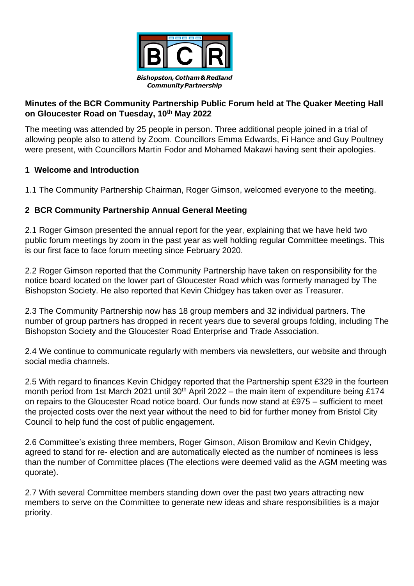

### **Minutes of the BCR Community Partnership Public Forum held at The Quaker Meeting Hall on Gloucester Road on Tuesday, 10th May 2022**

The meeting was attended by 25 people in person. Three additional people joined in a trial of allowing people also to attend by Zoom. Councillors Emma Edwards, Fi Hance and Guy Poultney were present, with Councillors Martin Fodor and Mohamed Makawi having sent their apologies.

### **1 Welcome and Introduction**

1.1 The Community Partnership Chairman, Roger Gimson, welcomed everyone to the meeting.

# **2 BCR Community Partnership Annual General Meeting**

2.1 Roger Gimson presented the annual report for the year, explaining that we have held two public forum meetings by zoom in the past year as well holding regular Committee meetings. This is our first face to face forum meeting since February 2020.

2.2 Roger Gimson reported that the Community Partnership have taken on responsibility for the notice board located on the lower part of Gloucester Road which was formerly managed by The Bishopston Society. He also reported that Kevin Chidgey has taken over as Treasurer.

2.3 The Community Partnership now has 18 group members and 32 individual partners. The number of group partners has dropped in recent years due to several groups folding, including The Bishopston Society and the Gloucester Road Enterprise and Trade Association.

2.4 We continue to communicate regularly with members via newsletters, our website and through social media channels.

2.5 With regard to finances Kevin Chidgey reported that the Partnership spent £329 in the fourteen month period from 1st March 2021 until 30<sup>th</sup> April 2022 – the main item of expenditure being £174 on repairs to the Gloucester Road notice board. Our funds now stand at £975 – sufficient to meet the projected costs over the next year without the need to bid for further money from Bristol City Council to help fund the cost of public engagement.

2.6 Committee's existing three members, Roger Gimson, Alison Bromilow and Kevin Chidgey, agreed to stand for re- election and are automatically elected as the number of nominees is less than the number of Committee places (The elections were deemed valid as the AGM meeting was quorate).

2.7 With several Committee members standing down over the past two years attracting new members to serve on the Committee to generate new ideas and share responsibilities is a major priority.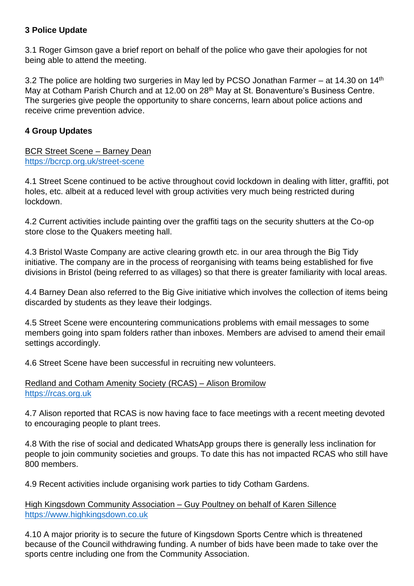### **3 Police Update**

3.1 Roger Gimson gave a brief report on behalf of the police who gave their apologies for not being able to attend the meeting.

3.2 The police are holding two surgeries in May led by PCSO Jonathan Farmer – at 14.30 on 14<sup>th</sup> May at Cotham Parish Church and at 12.00 on 28<sup>th</sup> May at St. Bonaventure's Business Centre. The surgeries give people the opportunity to share concerns, learn about police actions and receive crime prevention advice.

# **4 Group Updates**

BCR Street Scene – Barney Dean <https://bcrcp.org.uk/street-scene>

4.1 Street Scene continued to be active throughout covid lockdown in dealing with litter, graffiti, pot holes, etc. albeit at a reduced level with group activities very much being restricted during lockdown.

4.2 Current activities include painting over the graffiti tags on the security shutters at the Co-op store close to the Quakers meeting hall.

4.3 Bristol Waste Company are active clearing growth etc. in our area through the Big Tidy initiative. The company are in the process of reorganising with teams being established for five divisions in Bristol (being referred to as villages) so that there is greater familiarity with local areas.

4.4 Barney Dean also referred to the Big Give initiative which involves the collection of items being discarded by students as they leave their lodgings.

4.5 Street Scene were encountering communications problems with email messages to some members going into spam folders rather than inboxes. Members are advised to amend their email settings accordingly.

4.6 Street Scene have been successful in recruiting new volunteers.

Redland and Cotham Amenity Society (RCAS) – Alison Bromilow [https://rcas.org.uk](https://rcas.org.uk/)

4.7 Alison reported that RCAS is now having face to face meetings with a recent meeting devoted to encouraging people to plant trees.

4.8 With the rise of social and dedicated WhatsApp groups there is generally less inclination for people to join community societies and groups. To date this has not impacted RCAS who still have 800 members.

4.9 Recent activities include organising work parties to tidy Cotham Gardens.

#### High Kingsdown Community Association – Guy Poultney on behalf of Karen Sillence [https://www.highkingsdown.co.uk](https://www.highkingsdown.co.uk/)

4.10 A major priority is to secure the future of Kingsdown Sports Centre which is threatened because of the Council withdrawing funding. A number of bids have been made to take over the sports centre including one from the Community Association.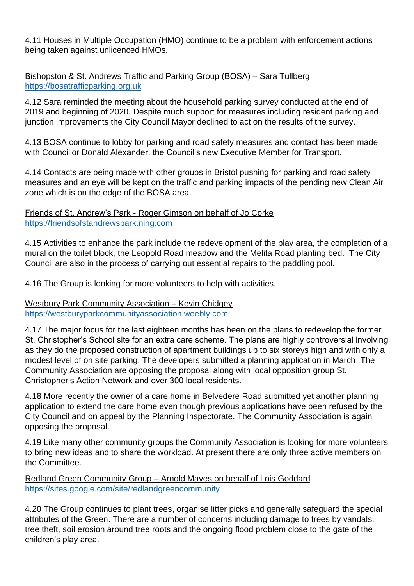4.11 Houses in Multiple Occupation (HMO) continue to be a problem with enforcement actions being taken against unlicenced HMOs.

Bishopston & St. Andrews Traffic and Parking Group (BOSA) – Sara Tullberg [https://bosatrafficparking.org.uk](https://bosatrafficparking.org.uk/)

4.12 Sara reminded the meeting about the household parking survey conducted at the end of 2019 and beginning of 2020. Despite much support for measures including resident parking and junction improvements the City Council Mayor declined to act on the results of the survey.

4.13 BOSA continue to lobby for parking and road safety measures and contact has been made with Councillor Donald Alexander, the Council's new Executive Member for Transport.

4.14 Contacts are being made with other groups in Bristol pushing for parking and road safety measures and an eye will be kept on the traffic and parking impacts of the pending new Clean Air zone which is on the edge of the BOSA area.

Friends of St. Andrew's Park - Roger Gimson on behalf of Jo Corke [https://friendsofstandrewspark.ning.com](https://friendsofstandrewspark.ning.com/)

4.15 Activities to enhance the park include the redevelopment of the play area, the completion of a mural on the toilet block, the Leopold Road meadow and the Melita Road planting bed. The City Council are also in the process of carrying out essential repairs to the paddling pool.

4.16 The Group is looking for more volunteers to help with activities.

Westbury Park Community Association – Kevin Chidgey [https://westburyparkcommunityassociation.weebly.com](https://westburyparkcommunityassociation.weebly.com/)

4.17 The major focus for the last eighteen months has been on the plans to redevelop the former St. Christopher's School site for an extra care scheme. The plans are highly controversial involving as they do the proposed construction of apartment buildings up to six storeys high and with only a modest level of on site parking. The developers submitted a planning application in March. The Community Association are opposing the proposal along with local opposition group St. Christopher's Action Network and over 300 local residents.

4.18 More recently the owner of a care home in Belvedere Road submitted yet another planning application to extend the care home even though previous applications have been refused by the City Council and on appeal by the Planning Inspectorate. The Community Association is again opposing the proposal.

4.19 Like many other community groups the Community Association is looking for more volunteers to bring new ideas and to share the workload. At present there are only three active members on the Committee.

Redland Green Community Group – Arnold Mayes on behalf of Lois Goddard <https://sites.google.com/site/redlandgreencommunity>

4.20 The Group continues to plant trees, organise litter picks and generally safeguard the special attributes of the Green. There are a number of concerns including damage to trees by vandals, tree theft, soil erosion around tree roots and the ongoing flood problem close to the gate of the children's play area.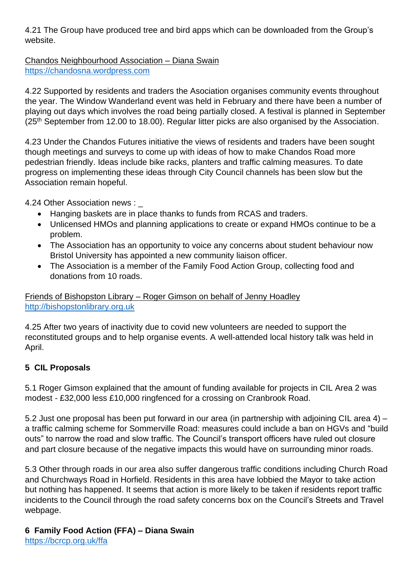4.21 The Group have produced tree and bird apps which can be downloaded from the Group's website.

# Chandos Neighbourhood Association – Diana Swain [https://chandosna.wordpress.com](https://chandosna.wordpress.com/)

4.22 Supported by residents and traders the Asociation organises community events throughout the year. The Window Wanderland event was held in February and there have been a number of playing out days which involves the road being partially closed. A festival is planned in September (25<sup>th</sup> September from 12.00 to 18.00). Regular litter picks are also organised by the Association.

4.23 Under the Chandos Futures initiative the views of residents and traders have been sought though meetings and surveys to come up with ideas of how to make Chandos Road more pedestrian friendly. Ideas include bike racks, planters and traffic calming measures. To date progress on implementing these ideas through City Council channels has been slow but the Association remain hopeful.

4.24 Other Association news :

- Hanging baskets are in place thanks to funds from RCAS and traders.
- Unlicensed HMOs and planning applications to create or expand HMOs continue to be a problem.
- The Association has an opportunity to voice any concerns about student behaviour now Bristol University has appointed a new community liaison officer.
- The Association is a member of the Family Food Action Group, collecting food and donations from 10 roads.

### Friends of Bishopston Library – Roger Gimson on behalf of Jenny Hoadley [http://bishopstonlibrary.org.uk](http://bishopstonlibrary.org.uk/)

4.25 After two years of inactivity due to covid new volunteers are needed to support the reconstituted groups and to help organise events. A well-attended local history talk was held in April.

# **5 CIL Proposals**

5.1 Roger Gimson explained that the amount of funding available for projects in CIL Area 2 was modest - £32,000 less £10,000 ringfenced for a crossing on Cranbrook Road.

5.2 Just one proposal has been put forward in our area (in partnership with adjoining CIL area 4) – a traffic calming scheme for Sommerville Road: measures could include a ban on HGVs and "build outs" to narrow the road and slow traffic. The Council's transport officers have ruled out closure and part closure because of the negative impacts this would have on surrounding minor roads.

5.3 Other through roads in our area also suffer dangerous traffic conditions including Church Road and Churchways Road in Horfield. Residents in this area have lobbied the Mayor to take action but nothing has happened. It seems that action is more likely to be taken if residents report traffic incidents to the Council through the road safety concerns box on the Council's Streets and Travel webpage.

# **6 Family Food Action (FFA) – Diana Swain**

<https://bcrcp.org.uk/ffa>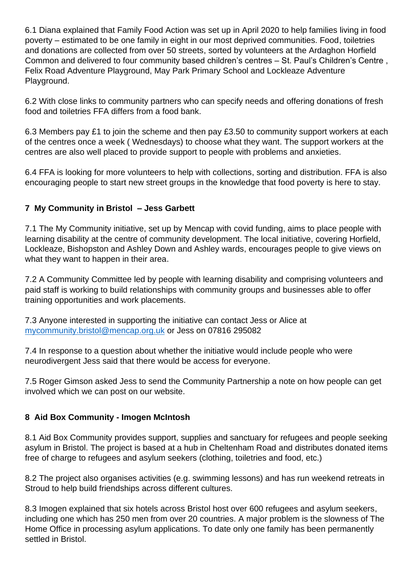6.1 Diana explained that Family Food Action was set up in April 2020 to help families living in food poverty – estimated to be one family in eight in our most deprived communities. Food, toiletries and donations are collected from over 50 streets, sorted by volunteers at the Ardaghon Horfield Common and delivered to four community based children's centres – St. Paul's Children's Centre , Felix Road Adventure Playground, May Park Primary School and Lockleaze Adventure Playground.

6.2 With close links to community partners who can specify needs and offering donations of fresh food and toiletries FFA differs from a food bank.

6.3 Members pay £1 to join the scheme and then pay £3.50 to community support workers at each of the centres once a week ( Wednesdays) to choose what they want. The support workers at the centres are also well placed to provide support to people with problems and anxieties.

6.4 FFA is looking for more volunteers to help with collections, sorting and distribution. FFA is also encouraging people to start new street groups in the knowledge that food poverty is here to stay.

### **7 My Community in Bristol – Jess Garbett**

7.1 The My Community initiative, set up by Mencap with covid funding, aims to place people with learning disability at the centre of community development. The local initiative, covering Horfield, Lockleaze, Bishopston and Ashley Down and Ashley wards, encourages people to give views on what they want to happen in their area.

7.2 A Community Committee led by people with learning disability and comprising volunteers and paid staff is working to build relationships with community groups and businesses able to offer training opportunities and work placements.

7.3 Anyone interested in supporting the initiative can contact Jess or Alice at [mycommunity.bristol@mencap.org.uk](mailto:mycommunity.bristol@mencap.org.uk) or Jess on 07816 295082

7.4 In response to a question about whether the initiative would include people who were neurodivergent Jess said that there would be access for everyone.

7.5 Roger Gimson asked Jess to send the Community Partnership a note on how people can get involved which we can post on our website.

### **8 Aid Box Community - Imogen McIntosh**

8.1 Aid Box Community provides support, supplies and sanctuary for refugees and people seeking asylum in Bristol. The project is based at a hub in Cheltenham Road and distributes donated items free of charge to refugees and asylum seekers (clothing, toiletries and food, etc.)

8.2 The project also organises activities (e.g. swimming lessons) and has run weekend retreats in Stroud to help build friendships across different cultures.

8.3 Imogen explained that six hotels across Bristol host over 600 refugees and asylum seekers, including one which has 250 men from over 20 countries. A major problem is the slowness of The Home Office in processing asylum applications. To date only one family has been permanently settled in Bristol.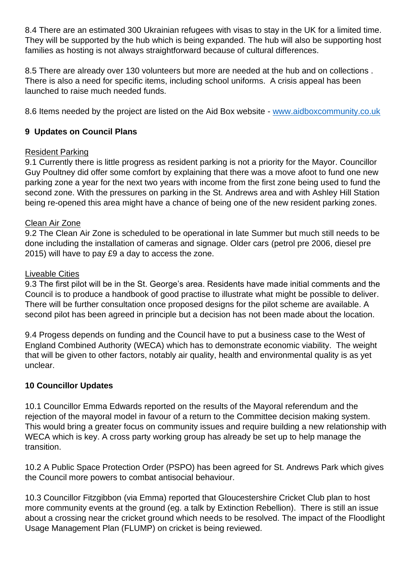8.4 There are an estimated 300 Ukrainian refugees with visas to stay in the UK for a limited time. They will be supported by the hub which is being expanded. The hub will also be supporting host families as hosting is not always straightforward because of cultural differences.

8.5 There are already over 130 volunteers but more are needed at the hub and on collections . There is also a need for specific items, including school uniforms. A crisis appeal has been launched to raise much needed funds.

8.6 Items needed by the project are listed on the Aid Box website - [www.aidboxcommunity.co.uk](http://www.aidboxcommunity.co.uk/)

### **9 Updates on Council Plans**

### Resident Parking

9.1 Currently there is little progress as resident parking is not a priority for the Mayor. Councillor Guy Poultney did offer some comfort by explaining that there was a move afoot to fund one new parking zone a year for the next two years with income from the first zone being used to fund the second zone. With the pressures on parking in the St. Andrews area and with Ashley Hill Station being re-opened this area might have a chance of being one of the new resident parking zones.

#### Clean Air Zone

9.2 The Clean Air Zone is scheduled to be operational in late Summer but much still needs to be done including the installation of cameras and signage. Older cars (petrol pre 2006, diesel pre 2015) will have to pay £9 a day to access the zone.

#### Liveable Cities

9.3 The first pilot will be in the St. George's area. Residents have made initial comments and the Council is to produce a handbook of good practise to illustrate what might be possible to deliver. There will be further consultation once proposed designs for the pilot scheme are available. A second pilot has been agreed in principle but a decision has not been made about the location.

9.4 Progess depends on funding and the Council have to put a business case to the West of England Combined Authority (WECA) which has to demonstrate economic viability. The weight that will be given to other factors, notably air quality, health and environmental quality is as yet unclear.

### **10 Councillor Updates**

10.1 Councillor Emma Edwards reported on the results of the Mayoral referendum and the rejection of the mayoral model in favour of a return to the Committee decision making system. This would bring a greater focus on community issues and require building a new relationship with WECA which is key. A cross party working group has already be set up to help manage the transition.

10.2 A Public Space Protection Order (PSPO) has been agreed for St. Andrews Park which gives the Council more powers to combat antisocial behaviour.

10.3 Councillor Fitzgibbon (via Emma) reported that Gloucestershire Cricket Club plan to host more community events at the ground (eg. a talk by Extinction Rebellion). There is still an issue about a crossing near the cricket ground which needs to be resolved. The impact of the Floodlight Usage Management Plan (FLUMP) on cricket is being reviewed.